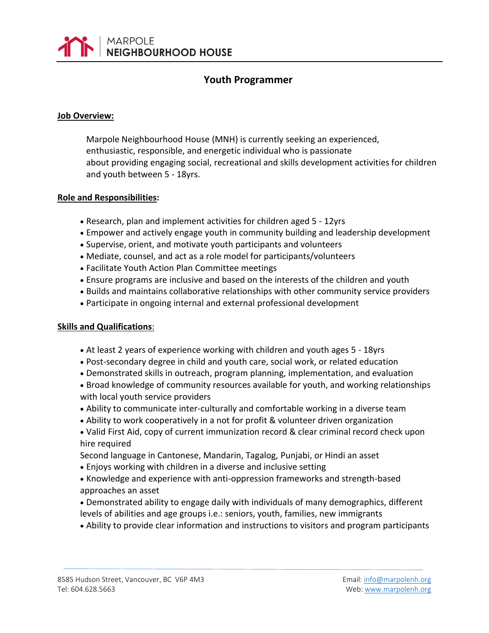

# **Youth Programmer**

#### **Job Overview:**

Marpole Neighbourhood House (MNH) is currently seeking an experienced, enthusiastic, responsible, and energetic individual who is passionate about providing engaging social, recreational and skills development activities for children and youth between 5 - 18yrs.

#### **Role and Responsibilities:**

- Research, plan and implement activities for children aged 5 12yrs
- Empower and actively engage youth in community building and leadership development
- Supervise, orient, and motivate youth participants and volunteers
- Mediate, counsel, and act as a role model for participants/volunteers
- Facilitate Youth Action Plan Committee meetings
- Ensure programs are inclusive and based on the interests of the children and youth
- Builds and maintains collaborative relationships with other community service providers
- Participate in ongoing internal and external professional development

## **Skills and Qualifications**:

- At least 2 years of experience working with children and youth ages 5 18yrs
- Post-secondary degree in child and youth care, social work, or related education
- Demonstrated skills in outreach, program planning, implementation, and evaluation
- Broad knowledge of community resources available for youth, and working relationships with local youth service providers
- Ability to communicate inter-culturally and comfortable working in a diverse team
- Ability to work cooperatively in a not for profit & volunteer driven organization
- Valid First Aid, copy of current immunization record & clear criminal record check upon hire required

Second language in Cantonese, Mandarin, Tagalog, Punjabi, or Hindi an asset

- Enjoys working with children in a diverse and inclusive setting
- Knowledge and experience with anti-oppression frameworks and strength-based approaches an asset
- Demonstrated ability to engage daily with individuals of many demographics, different levels of abilities and age groups i.e.: seniors, youth, families, new immigrants
- Ability to provide clear information and instructions to visitors and program participants